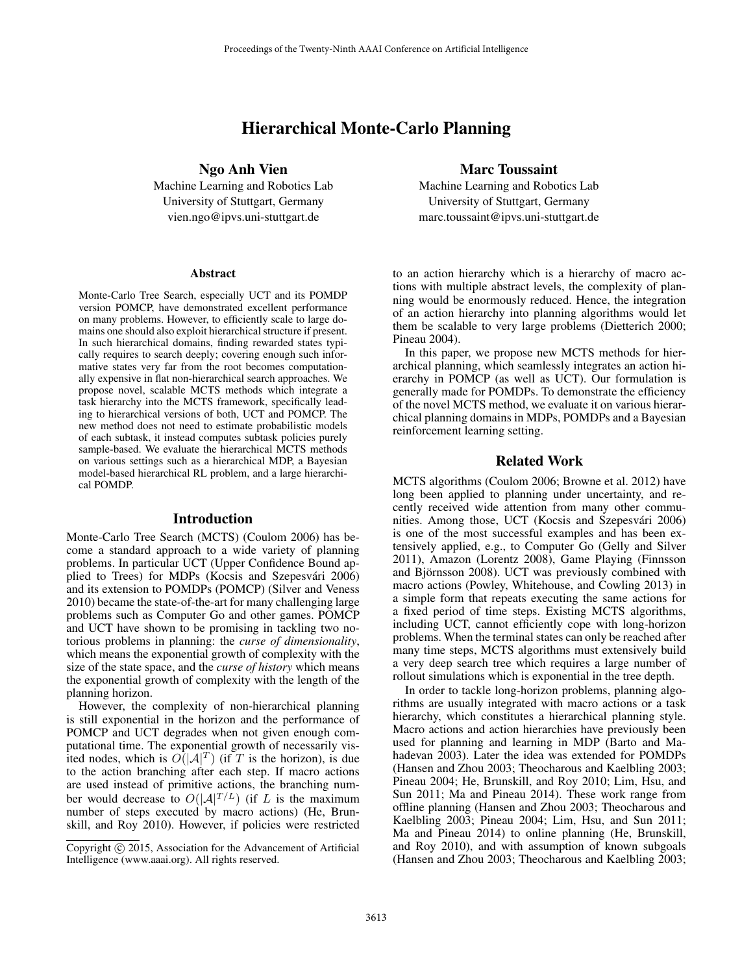# Hierarchical Monte-Carlo Planning

Ngo Anh Vien

Machine Learning and Robotics Lab University of Stuttgart, Germany vien.ngo@ipvs.uni-stuttgart.de

#### Abstract

Monte-Carlo Tree Search, especially UCT and its POMDP version POMCP, have demonstrated excellent performance on many problems. However, to efficiently scale to large domains one should also exploit hierarchical structure if present. In such hierarchical domains, finding rewarded states typically requires to search deeply; covering enough such informative states very far from the root becomes computationally expensive in flat non-hierarchical search approaches. We propose novel, scalable MCTS methods which integrate a task hierarchy into the MCTS framework, specifically leading to hierarchical versions of both, UCT and POMCP. The new method does not need to estimate probabilistic models of each subtask, it instead computes subtask policies purely sample-based. We evaluate the hierarchical MCTS methods on various settings such as a hierarchical MDP, a Bayesian model-based hierarchical RL problem, and a large hierarchical POMDP.

### Introduction

Monte-Carlo Tree Search (MCTS) (Coulom 2006) has become a standard approach to a wide variety of planning problems. In particular UCT (Upper Confidence Bound applied to Trees) for MDPs (Kocsis and Szepesvári 2006) and its extension to POMDPs (POMCP) (Silver and Veness 2010) became the state-of-the-art for many challenging large problems such as Computer Go and other games. POMCP and UCT have shown to be promising in tackling two notorious problems in planning: the *curse of dimensionality*, which means the exponential growth of complexity with the size of the state space, and the *curse of history* which means the exponential growth of complexity with the length of the planning horizon.

However, the complexity of non-hierarchical planning is still exponential in the horizon and the performance of POMCP and UCT degrades when not given enough computational time. The exponential growth of necessarily visited nodes, which is  $O(|A|^T)$  (if T is the horizon), is due to the action branching after each step. If macro actions are used instead of primitive actions, the branching number would decrease to  $O(|A|^{T/L})$  (if L is the maximum number of steps executed by macro actions) (He, Brunskill, and Roy 2010). However, if policies were restricted

### Marc Toussaint

Machine Learning and Robotics Lab University of Stuttgart, Germany marc.toussaint@ipvs.uni-stuttgart.de

to an action hierarchy which is a hierarchy of macro actions with multiple abstract levels, the complexity of planning would be enormously reduced. Hence, the integration of an action hierarchy into planning algorithms would let them be scalable to very large problems (Dietterich 2000; Pineau 2004).

In this paper, we propose new MCTS methods for hierarchical planning, which seamlessly integrates an action hierarchy in POMCP (as well as UCT). Our formulation is generally made for POMDPs. To demonstrate the efficiency of the novel MCTS method, we evaluate it on various hierarchical planning domains in MDPs, POMDPs and a Bayesian reinforcement learning setting.

# Related Work

MCTS algorithms (Coulom 2006; Browne et al. 2012) have long been applied to planning under uncertainty, and recently received wide attention from many other communities. Among those, UCT (Kocsis and Szepesvári 2006) is one of the most successful examples and has been extensively applied, e.g., to Computer Go (Gelly and Silver 2011), Amazon (Lorentz 2008), Game Playing (Finnsson and Björnsson 2008). UCT was previously combined with macro actions (Powley, Whitehouse, and Cowling 2013) in a simple form that repeats executing the same actions for a fixed period of time steps. Existing MCTS algorithms, including UCT, cannot efficiently cope with long-horizon problems. When the terminal states can only be reached after many time steps, MCTS algorithms must extensively build a very deep search tree which requires a large number of rollout simulations which is exponential in the tree depth.

In order to tackle long-horizon problems, planning algorithms are usually integrated with macro actions or a task hierarchy, which constitutes a hierarchical planning style. Macro actions and action hierarchies have previously been used for planning and learning in MDP (Barto and Mahadevan 2003). Later the idea was extended for POMDPs (Hansen and Zhou 2003; Theocharous and Kaelbling 2003; Pineau 2004; He, Brunskill, and Roy 2010; Lim, Hsu, and Sun 2011; Ma and Pineau 2014). These work range from offline planning (Hansen and Zhou 2003; Theocharous and Kaelbling 2003; Pineau 2004; Lim, Hsu, and Sun 2011; Ma and Pineau 2014) to online planning (He, Brunskill, and Roy 2010), and with assumption of known subgoals (Hansen and Zhou 2003; Theocharous and Kaelbling 2003;

Copyright (c) 2015, Association for the Advancement of Artificial Intelligence (www.aaai.org). All rights reserved.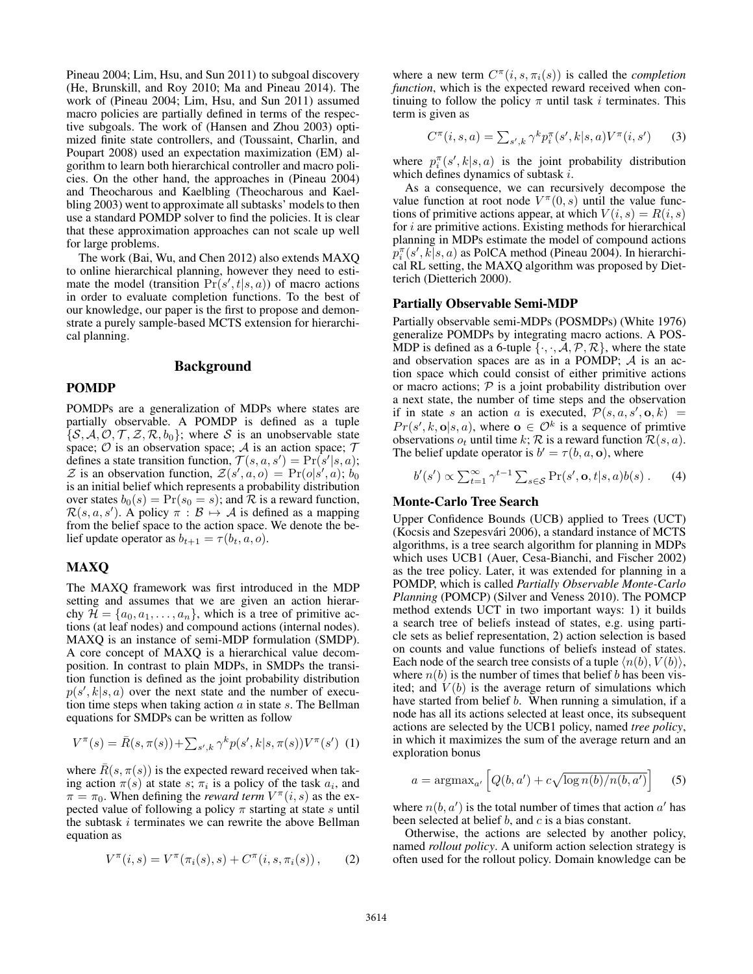Pineau 2004; Lim, Hsu, and Sun 2011) to subgoal discovery (He, Brunskill, and Roy 2010; Ma and Pineau 2014). The work of (Pineau 2004; Lim, Hsu, and Sun 2011) assumed macro policies are partially defined in terms of the respective subgoals. The work of (Hansen and Zhou 2003) optimized finite state controllers, and (Toussaint, Charlin, and Poupart 2008) used an expectation maximization (EM) algorithm to learn both hierarchical controller and macro policies. On the other hand, the approaches in (Pineau 2004) and Theocharous and Kaelbling (Theocharous and Kaelbling 2003) went to approximate all subtasks' models to then use a standard POMDP solver to find the policies. It is clear that these approximation approaches can not scale up well for large problems.

The work (Bai, Wu, and Chen 2012) also extends MAXQ to online hierarchical planning, however they need to estimate the model (transition  $Pr(s', t|s, a)$ ) of macro actions in order to evaluate completion functions. To the best of our knowledge, our paper is the first to propose and demonstrate a purely sample-based MCTS extension for hierarchical planning.

# Background

# POMDP

POMDPs are a generalization of MDPs where states are partially observable. A POMDP is defined as a tuple  $\{\mathcal{S}, \mathcal{A}, \mathcal{O}, \mathcal{T}, \mathcal{Z}, \mathcal{R}, b_0\};$  where S is an unobservable state space;  $O$  is an observation space;  $A$  is an action space;  $T$ defines a state transition function,  $\mathcal{T}(s, a, s') = \Pr(s'|s, a);$ Z is an observation function,  $Z(s', a, o) = Pr(o|s', a); b_0$ is an initial belief which represents a probability distribution over states  $b_0(s) = Pr(s_0 = s)$ ; and R is a reward function,  $\mathcal{R}(s, a, s')$ . A policy  $\pi : \mathcal{B} \mapsto \mathcal{A}$  is defined as a mapping from the belief space to the action space. We denote the belief update operator as  $b_{t+1} = \tau(b_t, a, o)$ .

# MAXQ

The MAXQ framework was first introduced in the MDP setting and assumes that we are given an action hierarchy  $\mathcal{H} = \{a_0, a_1, \ldots, a_n\}$ , which is a tree of primitive actions (at leaf nodes) and compound actions (internal nodes). MAXQ is an instance of semi-MDP formulation (SMDP). A core concept of MAXQ is a hierarchical value decomposition. In contrast to plain MDPs, in SMDPs the transition function is defined as the joint probability distribution  $p(s', k|s, a)$  over the next state and the number of execution time steps when taking action  $a$  in state  $s$ . The Bellman equations for SMDPs can be written as follow

$$
V^{\pi}(s) = \bar{R}(s, \pi(s)) + \sum_{s', k} \gamma^{k} p(s', k | s, \pi(s)) V^{\pi}(s')
$$
 (1)

where  $\bar{R}(s, \pi(s))$  is the expected reward received when taking action  $\pi(s)$  at state s;  $\pi_i$  is a policy of the task  $a_i$ , and  $\pi = \pi_0$ . When defining the *reward term*  $V^{\pi}(i, s)$  as the expected value of following a policy  $\pi$  starting at state s until the subtask  $i$  terminates we can rewrite the above Bellman equation as

$$
V^{\pi}(i,s) = V^{\pi}(\pi_i(s),s) + C^{\pi}(i,s,\pi_i(s)), \qquad (2)
$$

where a new term  $C^{\pi}(i, s, \pi_i(s))$  is called the *completion function*, which is the expected reward received when continuing to follow the policy  $\pi$  until task *i* terminates. This term is given as

$$
C^{\pi}(i,s,a) = \sum_{s',k} \gamma^k p_i^{\pi}(s',k|s,a) V^{\pi}(i,s')
$$
 (3)

where  $p_i^{\pi}(s', k | s, a)$  is the joint probability distribution which defines dynamics of subtask i.

As a consequence, we can recursively decompose the value function at root node  $V^{\pi}(0, s)$  until the value functions of primitive actions appear, at which  $V(i, s) = R(i, s)$ for i are primitive actions. Existing methods for hierarchical planning in MDPs estimate the model of compound actions  $p_i^{\pi}(s', k|s, a)$  as PolCA method (Pineau 2004). In hierarchical RL setting, the MAXQ algorithm was proposed by Dietterich (Dietterich 2000).

### Partially Observable Semi-MDP

Partially observable semi-MDPs (POSMDPs) (White 1976) generalize POMDPs by integrating macro actions. A POS-MDP is defined as a 6-tuple  $\{\cdot, \cdot, \mathcal{A}, \mathcal{P}, \mathcal{R}\}$ , where the state and observation spaces are as in a POMDP; A is an action space which could consist of either primitive actions or macro actions;  $P$  is a joint probability distribution over a next state, the number of time steps and the observation if in state s an action a is executed,  $\mathcal{P}(s, a, s', \mathbf{o}, k) =$  $Pr(s', k, o|s, a)$ , where  $o \in \mathcal{O}^k$  is a sequence of primtive observations  $o_t$  until time k; R is a reward function  $\mathcal{R}(s, a)$ . The belief update operator is  $b' = \tau(b, a, o)$ , where

$$
b'(s') \propto \sum_{t=1}^{\infty} \gamma^{t-1} \sum_{s \in \mathcal{S}} \Pr(s', \mathbf{o}, t | s, a) b(s) \,. \tag{4}
$$

# Monte-Carlo Tree Search

Upper Confidence Bounds (UCB) applied to Trees (UCT) (Kocsis and Szepesvari 2006), a standard instance of MCTS ´ algorithms, is a tree search algorithm for planning in MDPs which uses UCB1 (Auer, Cesa-Bianchi, and Fischer 2002) as the tree policy. Later, it was extended for planning in a POMDP, which is called *Partially Observable Monte-Carlo Planning* (POMCP) (Silver and Veness 2010). The POMCP method extends UCT in two important ways: 1) it builds a search tree of beliefs instead of states, e.g. using particle sets as belief representation, 2) action selection is based on counts and value functions of beliefs instead of states. Each node of the search tree consists of a tuple  $\langle n(b), V(b) \rangle$ , where  $n(b)$  is the number of times that belief b has been visited; and  $V(b)$  is the average return of simulations which have started from belief *b*. When running a simulation, if a node has all its actions selected at least once, its subsequent actions are selected by the UCB1 policy, named *tree policy*, in which it maximizes the sum of the average return and an exploration bonus

$$
a = \operatorname{argmax}_{a'} \left[ Q(b, a') + c \sqrt{\log n(b)/n(b, a')} \right] \tag{5}
$$

where  $n(b, a')$  is the total number of times that action  $a'$  has been selected at belief  $b$ , and  $c$  is a bias constant.

Otherwise, the actions are selected by another policy, named *rollout policy*. A uniform action selection strategy is often used for the rollout policy. Domain knowledge can be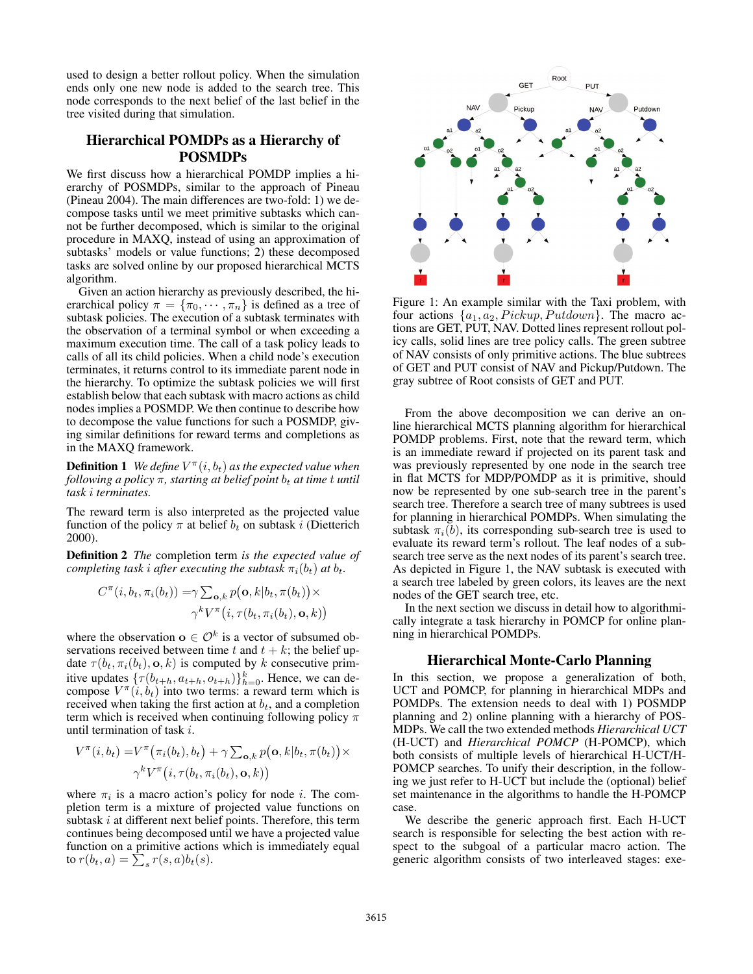used to design a better rollout policy. When the simulation ends only one new node is added to the search tree. This node corresponds to the next belief of the last belief in the tree visited during that simulation.

# Hierarchical POMDPs as a Hierarchy of POSMDPs

We first discuss how a hierarchical POMDP implies a hierarchy of POSMDPs, similar to the approach of Pineau (Pineau 2004). The main differences are two-fold: 1) we decompose tasks until we meet primitive subtasks which cannot be further decomposed, which is similar to the original procedure in MAXQ, instead of using an approximation of subtasks' models or value functions; 2) these decomposed tasks are solved online by our proposed hierarchical MCTS algorithm.

Given an action hierarchy as previously described, the hierarchical policy  $\pi = {\pi_0, \cdots, \pi_n}$  is defined as a tree of subtask policies. The execution of a subtask terminates with the observation of a terminal symbol or when exceeding a maximum execution time. The call of a task policy leads to calls of all its child policies. When a child node's execution terminates, it returns control to its immediate parent node in the hierarchy. To optimize the subtask policies we will first establish below that each subtask with macro actions as child nodes implies a POSMDP. We then continue to describe how to decompose the value functions for such a POSMDP, giving similar definitions for reward terms and completions as in the MAXQ framework.

**Definition 1** *We define*  $V^{\pi}(i, b_t)$  *as the expected value when following a policy*  $\pi$ , *starting at belief point*  $b_t$  *at time t until task* i *terminates.*

The reward term is also interpreted as the projected value function of the policy  $\pi$  at belief  $b_t$  on subtask i (Dietterich 2000).

Definition 2 *The* completion term *is the expected value of completing task i after executing the subtask*  $\pi_i(b_t)$  *at*  $b_t$ *.* 

$$
C^{\pi}(i, b_t, \pi_i(b_t)) = \gamma \sum_{\mathbf{o}, k} p(\mathbf{o}, k | b_t, \pi(b_t)) \times
$$

$$
\gamma^k V^{\pi}(i, \tau(b_t, \pi_i(b_t), \mathbf{o}, k))
$$

where the observation  $o \in \mathcal{O}^k$  is a vector of subsumed observations received between time t and  $t + k$ ; the belief update  $\tau(b_t, \pi_i(b_t), \mathbf{o}, k)$  is computed by k consecutive primitive updates  $\{\tau(b_{t+h}, a_{t+h}, o_{t+h})\}_{h=0}^k$ . Hence, we can decompose  $V^{\pi}(i, b_t)$  into two terms: a reward term which is received when taking the first action at  $b_t$ , and a completion term which is received when continuing following policy  $\pi$ until termination of task i.

$$
V^{\pi}(i, b_t) = V^{\pi}(\pi_i(b_t), b_t) + \gamma \sum_{\mathbf{o}, k} p(\mathbf{o}, k | b_t, \pi(b_t)) \times
$$
  

$$
\gamma^k V^{\pi}(i, \tau(b_t, \pi_i(b_t), \mathbf{o}, k))
$$

where  $\pi_i$  is a macro action's policy for node i. The completion term is a mixture of projected value functions on subtask i at different next belief points. Therefore, this term continues being decomposed until we have a projected value function on a primitive actions which is immediately equal to  $r(b_t, a) = \sum_s r(s, a)b_t(s)$ .



Figure 1: An example similar with the Taxi problem, with four actions  $\{a_1, a_2, Pickup, Putdown\}$ . The macro actions are GET, PUT, NAV. Dotted lines represent rollout policy calls, solid lines are tree policy calls. The green subtree of NAV consists of only primitive actions. The blue subtrees of GET and PUT consist of NAV and Pickup/Putdown. The gray subtree of Root consists of GET and PUT.

From the above decomposition we can derive an online hierarchical MCTS planning algorithm for hierarchical POMDP problems. First, note that the reward term, which is an immediate reward if projected on its parent task and was previously represented by one node in the search tree in flat MCTS for MDP/POMDP as it is primitive, should now be represented by one sub-search tree in the parent's search tree. Therefore a search tree of many subtrees is used for planning in hierarchical POMDPs. When simulating the subtask  $\pi_i(b)$ , its corresponding sub-search tree is used to evaluate its reward term's rollout. The leaf nodes of a subsearch tree serve as the next nodes of its parent's search tree. As depicted in Figure 1, the NAV subtask is executed with a search tree labeled by green colors, its leaves are the next nodes of the GET search tree, etc.

In the next section we discuss in detail how to algorithmically integrate a task hierarchy in POMCP for online planning in hierarchical POMDPs.

# Hierarchical Monte-Carlo Planning

In this section, we propose a generalization of both, UCT and POMCP, for planning in hierarchical MDPs and POMDPs. The extension needs to deal with 1) POSMDP planning and 2) online planning with a hierarchy of POS-MDPs. We call the two extended methods *Hierarchical UCT* (H-UCT) and *Hierarchical POMCP* (H-POMCP), which both consists of multiple levels of hierarchical H-UCT/H-POMCP searches. To unify their description, in the following we just refer to H-UCT but include the (optional) belief set maintenance in the algorithms to handle the H-POMCP case.

We describe the generic approach first. Each H-UCT search is responsible for selecting the best action with respect to the subgoal of a particular macro action. The generic algorithm consists of two interleaved stages: exe-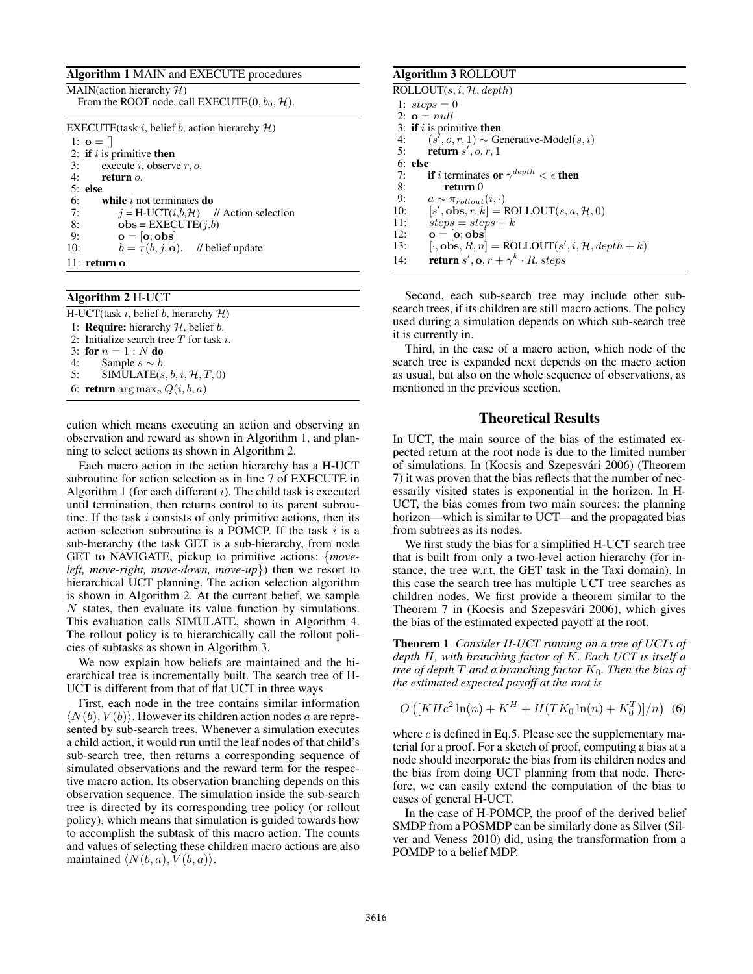# Algorithm 1 MAIN and EXECUTE procedures

| Algorium 1 MAIN and EALCOTE procedures                                                    |  |  |  |  |
|-------------------------------------------------------------------------------------------|--|--|--|--|
| MAIN(action hierarchy $H$ )<br>From the ROOT node, call EXECUTE $(0, b_0, \mathcal{H})$ . |  |  |  |  |
| EXECUTE (task i, belief b, action hierarchy $H$ )                                         |  |  |  |  |
| 1: $\mathbf{o} =$                                                                         |  |  |  |  |
| 2: if $i$ is primitive then                                                               |  |  |  |  |
| 3:<br>execute i, observe $r$ , o.                                                         |  |  |  |  |
| 4: return $o$ .                                                                           |  |  |  |  |
| $5:$ else                                                                                 |  |  |  |  |
| 6:<br>while $i$ not terminates do                                                         |  |  |  |  |
| 7:<br>$i = H-UCT(i,b,H)$ // Action selection                                              |  |  |  |  |
| 8:<br>$obs = EXECUTE(i,b)$                                                                |  |  |  |  |
| $o = [o; obs]$<br>9:                                                                      |  |  |  |  |
| $b = \tau(b, j, o)$ . // belief update<br>10:                                             |  |  |  |  |
|                                                                                           |  |  |  |  |

#### 11: return o.

# Algorithm 2 H-UCT

| H-UCT(task i, belief b, hierarchy $H$ )            |
|----------------------------------------------------|
| 1: <b>Require:</b> hierarchy $H$ , belief $b$ .    |
| 2: Initialize search tree $T$ for task i.          |
| 3: for $n = 1 : N$ do                              |
| 4: Sample $s \sim b$ .                             |
| 5: SIMULATE $(s, b, i, \mathcal{H}, T, 0)$         |
| 6: <b>return</b> arg max <sub>a</sub> $Q(i, b, a)$ |

cution which means executing an action and observing an observation and reward as shown in Algorithm 1, and planning to select actions as shown in Algorithm 2.

Each macro action in the action hierarchy has a H-UCT subroutine for action selection as in line 7 of EXECUTE in Algorithm 1 (for each different  $i$ ). The child task is executed until termination, then returns control to its parent subroutine. If the task  $i$  consists of only primitive actions, then its action selection subroutine is a POMCP. If the task  $i$  is a sub-hierarchy (the task GET is a sub-hierarchy, from node GET to NAVIGATE, pickup to primitive actions: {*moveleft, move-right, move-down, move-up*}) then we resort to hierarchical UCT planning. The action selection algorithm is shown in Algorithm 2. At the current belief, we sample N states, then evaluate its value function by simulations. This evaluation calls SIMULATE, shown in Algorithm 4. The rollout policy is to hierarchically call the rollout policies of subtasks as shown in Algorithm 3.

We now explain how beliefs are maintained and the hierarchical tree is incrementally built. The search tree of H-UCT is different from that of flat UCT in three ways

First, each node in the tree contains similar information  $\langle N(b), V(b) \rangle$ . However its children action nodes a are represented by sub-search trees. Whenever a simulation executes a child action, it would run until the leaf nodes of that child's sub-search tree, then returns a corresponding sequence of simulated observations and the reward term for the respective macro action. Its observation branching depends on this observation sequence. The simulation inside the sub-search tree is directed by its corresponding tree policy (or rollout policy), which means that simulation is guided towards how to accomplish the subtask of this macro action. The counts and values of selecting these children macro actions are also maintained  $\langle N(b, a), V(b, a) \rangle$ .

### Algorithm 3 ROLLOUT

| ROLLOUT $(s, i, \mathcal{H}, depth)$                                                 |  |  |  |  |
|--------------------------------------------------------------------------------------|--|--|--|--|
| 1: $steps = 0$                                                                       |  |  |  |  |
| 2: $\mathbf{o} = null$                                                               |  |  |  |  |
| 3: if i is primitive then                                                            |  |  |  |  |
| $(s', o, r, 1) \sim$ Generative-Model $(s, i)$<br>4:                                 |  |  |  |  |
| 5:<br>return $s', o, r, 1$                                                           |  |  |  |  |
| $6:$ else                                                                            |  |  |  |  |
| <b>if</b> i terminates or $\gamma^{depth} < \epsilon$ then<br>7:                     |  |  |  |  |
| 8:<br>return 0                                                                       |  |  |  |  |
| $a \sim \pi_{rollout}(i, \cdot)$<br>9:                                               |  |  |  |  |
| $[s', \mathbf{obs}, r, k] = \text{ROLLOUT}(s, a, \mathcal{H}, 0)$<br>10:             |  |  |  |  |
| 11:<br>$steps = steps + k$                                                           |  |  |  |  |
| $o = [o; obs]$<br>12:                                                                |  |  |  |  |
| $[\cdot, \mathbf{obs}, R, n] = \text{ROLLOUT}(s', i, \mathcal{H}, depth + k)$<br>13: |  |  |  |  |
| <b>return</b> s', <b>o</b> , $r + \gamma^k \cdot R$ , <i>steps</i><br>14:            |  |  |  |  |

Second, each sub-search tree may include other subsearch trees, if its children are still macro actions. The policy used during a simulation depends on which sub-search tree it is currently in.

Third, in the case of a macro action, which node of the search tree is expanded next depends on the macro action as usual, but also on the whole sequence of observations, as mentioned in the previous section.

# Theoretical Results

In UCT, the main source of the bias of the estimated expected return at the root node is due to the limited number of simulations. In (Kocsis and Szepesvári 2006) (Theorem 7) it was proven that the bias reflects that the number of necessarily visited states is exponential in the horizon. In H-UCT, the bias comes from two main sources: the planning horizon—which is similar to UCT—and the propagated bias from subtrees as its nodes.

We first study the bias for a simplified H-UCT search tree that is built from only a two-level action hierarchy (for instance, the tree w.r.t. the GET task in the Taxi domain). In this case the search tree has multiple UCT tree searches as children nodes. We first provide a theorem similar to the Theorem 7 in (Kocsis and Szepesvári 2006), which gives the bias of the estimated expected payoff at the root.

Theorem 1 *Consider H-UCT running on a tree of UCTs of depth* H*, with branching factor of* K*. Each UCT is itself a tree of depth*  $T$  *and a branching factor*  $K_0$ *. Then the bias of the estimated expected payoff at the root is*

$$
O\left( [K H c^2 \ln(n) + K^H + H(TK_0 \ln(n) + K_0^T)]/n \right) (6)
$$

where  $c$  is defined in Eq.5. Please see the supplementary material for a proof. For a sketch of proof, computing a bias at a node should incorporate the bias from its children nodes and the bias from doing UCT planning from that node. Therefore, we can easily extend the computation of the bias to cases of general H-UCT.

In the case of H-POMCP, the proof of the derived belief SMDP from a POSMDP can be similarly done as Silver (Silver and Veness 2010) did, using the transformation from a POMDP to a belief MDP.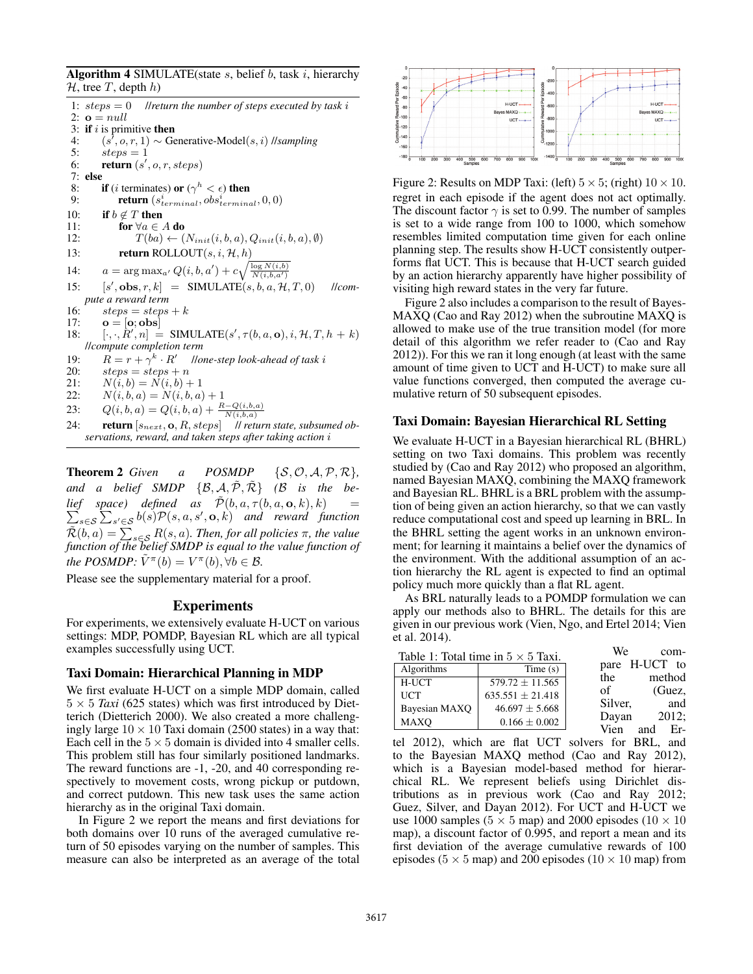Algorithm 4 SIMULATE(state  $s$ , belief  $b$ , task  $i$ , hierarchy  $H$ , tree T, depth  $h$ )

1:  $steps = 0$  //*return the number of steps executed by task i* 2:  $\mathbf{o} = null$ 3: if  $i$  is primitive then 4:  $(s', o, r, 1) \sim$  Generative-Model $(s, i)$  //*sampling* 5:  $steps = 1$ 6: return  $(s', o, r, steps)$ 7: else<br>8: 8: **if** (*i* terminates) or ( $\gamma^h < \epsilon$ ) then<br>9: **return** ( $s_{terminal}^i, obs_{terminal}^i$ 9: **return**  $(s_{terminal}^i, obs_{terminal}^i, 0, 0)$ 10: **if**  $b \notin T$  then<br>11: **for**  $\forall a \in T$ 11: for  $\forall a \in A$  do<br>12:  $T(ba) \leftarrow 0$ 12:  $T(ba) \leftarrow (N_{init}(i, b, a), Q_{init}(i, b, a), \emptyset)$ <br>
13: **return ROLLOUT** $(s, i, H, h)$ return ROLLOUT $(s, i, H, h)$ 14:  $a = \arg \max_{a'} Q(i, b, a') + c \sqrt{\frac{\log N(i, b)}{N(i, b, a')}}$  $15:$  $[s', \textbf{obs}, r, k] = \text{SIMULATE}(s, b, a, \mathcal{H}, T, 0)$  //*////compute a reward term* 16:  $steps = steps + k$ 17:  $\mathbf{o} = [\mathbf{o}; \mathbf{obs}]$ 18:  $[\cdot, \cdot, R', n] = \text{SIMULATE}(s', \tau(b, a, \mathbf{o}), i, \mathcal{H}, T, h + k)$ //*compute completion term* 19:  $R = r + \gamma^k \cdot R'$  //*one-step look-ahead of task i*<br>20:  $steps + n$ 20:  $steps = steps + n$ <br>21:  $N(i, b) = N(i, b) +$  $N(i, b) = N(i, b) + 1$ 22:  $N(i, b, a) = N(i, b, a) + 1$ 23:  $Q(i, b, a) = Q(i, b, a) + \frac{R - Q(i, b, a)}{N}$  $\sqrt{\frac{N(i,b,a)}{N(t,b,a)}}$ <br>Il return state, subsumed ob-24: **return**  $[s_{next}, \mathbf{o}, R, steps]$ *servations, reward, and taken steps after taking action* i

**Theorem 2** Given a POSMDP  $\{S, \mathcal{O}, \mathcal{A}, \mathcal{P}, \mathcal{R}\},\$ and a belief SMDP  $\{\mathcal{B}, \mathcal{A}, \tilde{\mathcal{P}}, \tilde{\mathcal{R}}\}$  ( $\mathcal{B}$  *is the belief* space) defined as  $\tilde{\mathcal{P}}(b, a, \tau(b, a, \mathbf{o}, k), k) =$ <br> $\sum_{s \in \mathcal{S}} \sum_{s,t \in \mathcal{S}} b(s) \mathcal{P}(s, a, s', \mathbf{o}, k)$  and reward function s∈s<sup>5</sup>  $\sum_{s' \in S} b(s) \mathcal{P}(s, a, s', \mathbf{o}, k)$  *and reward function*  $\tilde{\mathcal{R}}(b,a) = \sum_{s \in \mathcal{S}} R(s,a)$ . Then, for all policies  $\pi$ , the value function of the belief SMDP is equal to the value function of *the POSMDP:*  $\tilde{V}^{\pi}(b) = V^{\pi}(b)$ ,  $\forall b \in \mathcal{B}$ .

Please see the supplementary material for a proof.

# Experiments

For experiments, we extensively evaluate H-UCT on various settings: MDP, POMDP, Bayesian RL which are all typical examples successfully using UCT.

# Taxi Domain: Hierarchical Planning in MDP

We first evaluate H-UCT on a simple MDP domain, called  $5 \times 5$  *Taxi* (625 states) which was first introduced by Dietterich (Dietterich 2000). We also created a more challengingly large  $10 \times 10$  Taxi domain (2500 states) in a way that: Each cell in the  $5 \times 5$  domain is divided into 4 smaller cells. This problem still has four similarly positioned landmarks. The reward functions are -1, -20, and 40 corresponding respectively to movement costs, wrong pickup or putdown, and correct putdown. This new task uses the same action hierarchy as in the original Taxi domain.

In Figure 2 we report the means and first deviations for both domains over 10 runs of the averaged cumulative return of 50 episodes varying on the number of samples. This measure can also be interpreted as an average of the total



Figure 2: Results on MDP Taxi: (left)  $5 \times 5$ ; (right)  $10 \times 10$ . regret in each episode if the agent does not act optimally. The discount factor  $\gamma$  is set to 0.99. The number of samples is set to a wide range from 100 to 1000, which somehow resembles limited computation time given for each online planning step. The results show H-UCT consistently outperforms flat UCT. This is because that H-UCT search guided by an action hierarchy apparently have higher possibility of visiting high reward states in the very far future.

Figure 2 also includes a comparison to the result of Bayes-MAXQ (Cao and Ray 2012) when the subroutine MAXQ is allowed to make use of the true transition model (for more detail of this algorithm we refer reader to (Cao and Ray 2012)). For this we ran it long enough (at least with the same amount of time given to UCT and H-UCT) to make sure all value functions converged, then computed the average cumulative return of 50 subsequent episodes.

### Taxi Domain: Bayesian Hierarchical RL Setting

We evaluate H-UCT in a Bayesian hierarchical RL (BHRL) setting on two Taxi domains. This problem was recently studied by (Cao and Ray 2012) who proposed an algorithm, named Bayesian MAXQ, combining the MAXQ framework and Bayesian RL. BHRL is a BRL problem with the assumption of being given an action hierarchy, so that we can vastly reduce computational cost and speed up learning in BRL. In the BHRL setting the agent works in an unknown environment; for learning it maintains a belief over the dynamics of the environment. With the additional assumption of an action hierarchy the RL agent is expected to find an optimal policy much more quickly than a flat RL agent.

As BRL naturally leads to a POMDP formulation we can apply our methods also to BHRL. The details for this are given in our previous work (Vien, Ngo, and Ertel 2014; Vien et al. 2014).

|               | Table 1: Total time in $5 \times 5$ Taxi. | We<br>com-               |
|---------------|-------------------------------------------|--------------------------|
| Algorithms    | Time(s)                                   | pare H-UCT to            |
| H-UCT         | $579.72 \pm 11.565$                       | method<br>the<br>of      |
| <b>UCT</b>    | $635.551 \pm 21.418$                      | (Guez,<br>and<br>Silver, |
| Bayesian MAXQ | $46.697 \pm 5.668$                        | $2012$ ;<br>Dayan        |
| <b>MAXO</b>   | $0.166 \pm 0.002$                         | Vien<br>and<br>Er-       |
|               |                                           |                          |

tel 2012), which are flat UCT solvers for BRL, and to the Bayesian MAXQ method (Cao and Ray 2012), which is a Bayesian model-based method for hierarchical RL. We represent beliefs using Dirichlet distributions as in previous work (Cao and Ray 2012; Guez, Silver, and Dayan 2012). For UCT and H-UCT we use 1000 samples ( $5 \times 5$  map) and 2000 episodes ( $10 \times 10$ ) map), a discount factor of 0.995, and report a mean and its first deviation of the average cumulative rewards of 100 episodes ( $5 \times 5$  map) and 200 episodes ( $10 \times 10$  map) from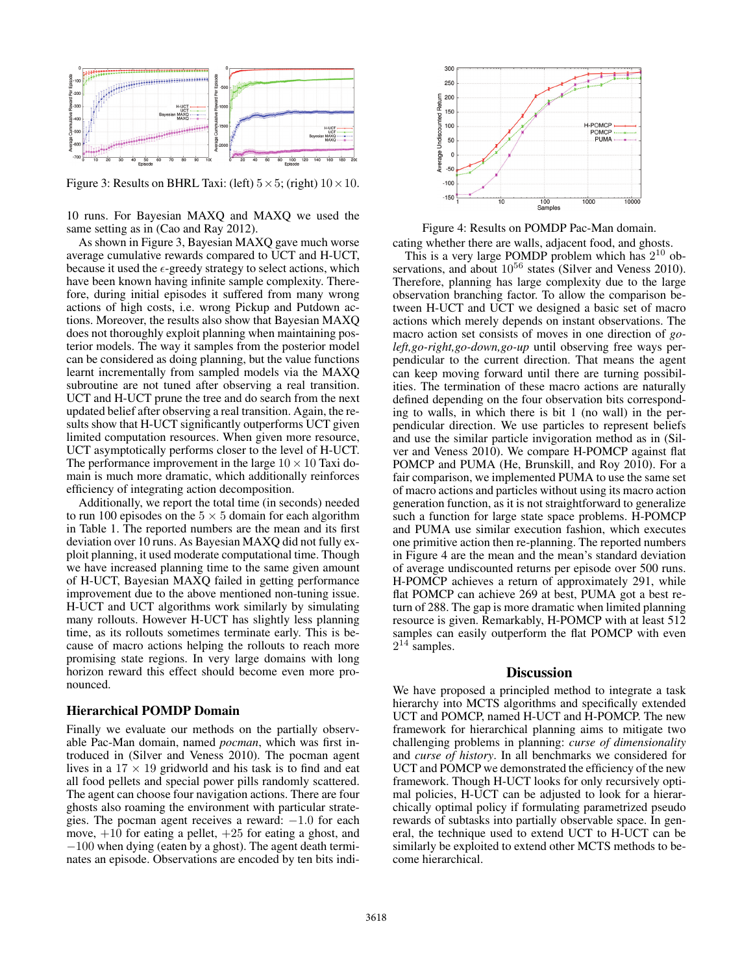

Figure 3: Results on BHRL Taxi: (left)  $5 \times 5$ ; (right)  $10 \times 10$ .

10 runs. For Bayesian MAXQ and MAXQ we used the same setting as in (Cao and Ray 2012).

As shown in Figure 3, Bayesian MAXQ gave much worse average cumulative rewards compared to UCT and H-UCT, because it used the  $\epsilon$ -greedy strategy to select actions, which have been known having infinite sample complexity. Therefore, during initial episodes it suffered from many wrong actions of high costs, i.e. wrong Pickup and Putdown actions. Moreover, the results also show that Bayesian MAXQ does not thoroughly exploit planning when maintaining posterior models. The way it samples from the posterior model can be considered as doing planning, but the value functions learnt incrementally from sampled models via the MAXQ subroutine are not tuned after observing a real transition. UCT and H-UCT prune the tree and do search from the next updated belief after observing a real transition. Again, the results show that H-UCT significantly outperforms UCT given limited computation resources. When given more resource, UCT asymptotically performs closer to the level of H-UCT. The performance improvement in the large  $10 \times 10$  Taxi domain is much more dramatic, which additionally reinforces efficiency of integrating action decomposition.

Additionally, we report the total time (in seconds) needed to run 100 episodes on the  $5 \times 5$  domain for each algorithm in Table 1. The reported numbers are the mean and its first deviation over 10 runs. As Bayesian MAXQ did not fully exploit planning, it used moderate computational time. Though we have increased planning time to the same given amount of H-UCT, Bayesian MAXQ failed in getting performance improvement due to the above mentioned non-tuning issue. H-UCT and UCT algorithms work similarly by simulating many rollouts. However H-UCT has slightly less planning time, as its rollouts sometimes terminate early. This is because of macro actions helping the rollouts to reach more promising state regions. In very large domains with long horizon reward this effect should become even more pronounced.

### Hierarchical POMDP Domain

Finally we evaluate our methods on the partially observable Pac-Man domain, named *pocman*, which was first introduced in (Silver and Veness 2010). The pocman agent lives in a  $17 \times 19$  gridworld and his task is to find and eat all food pellets and special power pills randomly scattered. The agent can choose four navigation actions. There are four ghosts also roaming the environment with particular strategies. The pocman agent receives a reward: −1.0 for each move,  $+10$  for eating a pellet,  $+25$  for eating a ghost, and −100 when dying (eaten by a ghost). The agent death terminates an episode. Observations are encoded by ten bits indi-



Figure 4: Results on POMDP Pac-Man domain.

cating whether there are walls, adjacent food, and ghosts.

This is a very large POMDP problem which has  $2^{10}$  observations, and about  $10^{56}$  states (Silver and Veness 2010). Therefore, planning has large complexity due to the large observation branching factor. To allow the comparison between H-UCT and UCT we designed a basic set of macro actions which merely depends on instant observations. The macro action set consists of moves in one direction of *goleft,go-right,go-down,go-up* until observing free ways perpendicular to the current direction. That means the agent can keep moving forward until there are turning possibilities. The termination of these macro actions are naturally defined depending on the four observation bits corresponding to walls, in which there is bit 1 (no wall) in the perpendicular direction. We use particles to represent beliefs and use the similar particle invigoration method as in (Silver and Veness 2010). We compare H-POMCP against flat POMCP and PUMA (He, Brunskill, and Roy 2010). For a fair comparison, we implemented PUMA to use the same set of macro actions and particles without using its macro action generation function, as it is not straightforward to generalize such a function for large state space problems. H-POMCP and PUMA use similar execution fashion, which executes one primitive action then re-planning. The reported numbers in Figure 4 are the mean and the mean's standard deviation of average undiscounted returns per episode over 500 runs. H-POMCP achieves a return of approximately 291, while flat POMCP can achieve 269 at best, PUMA got a best return of 288. The gap is more dramatic when limited planning resource is given. Remarkably, H-POMCP with at least 512 samples can easily outperform the flat POMCP with even  $2^{14}$  samples.

#### **Discussion**

We have proposed a principled method to integrate a task hierarchy into MCTS algorithms and specifically extended UCT and POMCP, named H-UCT and H-POMCP. The new framework for hierarchical planning aims to mitigate two challenging problems in planning: *curse of dimensionality* and *curse of history*. In all benchmarks we considered for UCT and POMCP we demonstrated the efficiency of the new framework. Though H-UCT looks for only recursively optimal policies, H-UCT can be adjusted to look for a hierarchically optimal policy if formulating parametrized pseudo rewards of subtasks into partially observable space. In general, the technique used to extend UCT to H-UCT can be similarly be exploited to extend other MCTS methods to become hierarchical.